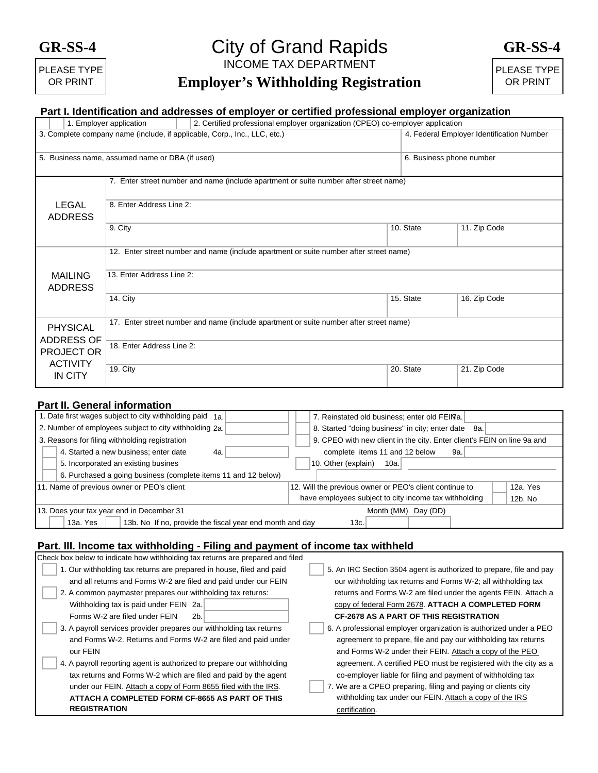## **GR-SS-4**



# INCOME TAX DEPARTMENT City of Grand Rapids

**GR-SS-4** 

# **Employer's Withholding Registration**

PLEASE TYPE OR PRINT

### **Part I. Identification and addresses of employer or certified professional employer organization**

|                                                                                        |                                      | 1. Employer application                                                                | 2. Certified professional employer organization (CPEO) co-employer application        |           |                                           |  |
|----------------------------------------------------------------------------------------|--------------------------------------|----------------------------------------------------------------------------------------|---------------------------------------------------------------------------------------|-----------|-------------------------------------------|--|
| 3. Complete company name (include, if applicable, Corp., Inc., LLC, etc.)              |                                      |                                                                                        |                                                                                       |           | 4. Federal Employer Identification Number |  |
| 5. Business name, assumed name or DBA (if used)                                        |                                      |                                                                                        |                                                                                       |           | 6. Business phone number                  |  |
|                                                                                        |                                      |                                                                                        | 7. Enter street number and name (include apartment or suite number after street name) |           |                                           |  |
|                                                                                        | <b>LEGAL</b><br><b>ADDRESS</b>       | 8. Enter Address Line 2:                                                               |                                                                                       |           |                                           |  |
|                                                                                        |                                      | 9. City                                                                                |                                                                                       | 10. State | 11. Zip Code                              |  |
| 12. Enter street number and name (include apartment or suite number after street name) |                                      |                                                                                        |                                                                                       |           |                                           |  |
|                                                                                        | <b>MAILING</b><br><b>ADDRESS</b>     | 13. Enter Address Line 2:                                                              |                                                                                       |           |                                           |  |
|                                                                                        |                                      | 14. City                                                                               |                                                                                       | 15. State | 16. Zip Code                              |  |
|                                                                                        | <b>PHYSICAL</b><br><b>ADDRESS OF</b> | 17. Enter street number and name (include apartment or suite number after street name) |                                                                                       |           |                                           |  |
|                                                                                        | <b>PROJECT OR</b><br><b>ACTIVITY</b> | 18. Enter Address Line 2:                                                              |                                                                                       |           |                                           |  |
|                                                                                        | IN CITY                              | <b>19. City</b>                                                                        |                                                                                       | 20. State | 21. Zip Code                              |  |

### **Part II. General information**

| 1. Date first wages subject to city withholding paid 1a.                     | 7. Reinstated old business; enter old FEINa.                            |  |  |  |
|------------------------------------------------------------------------------|-------------------------------------------------------------------------|--|--|--|
| 2. Number of employees subject to city withholding 2a.                       | 8. Started "doing business" in city; enter date 8a.                     |  |  |  |
| 3. Reasons for filing withholding registration                               | 9. CPEO with new client in the city. Enter client's FEIN on line 9a and |  |  |  |
| 4. Started a new business; enter date<br>4a.                                 | complete items 11 and 12 below<br>9a.                                   |  |  |  |
| 5. Incorporated an existing busines                                          | 10. Other (explain)<br>10a.                                             |  |  |  |
| 6. Purchased a going business (complete items 11 and 12 below)               |                                                                         |  |  |  |
| 11. Name of previous owner or PEO's client                                   | 12. Will the previous owner or PEO's client continue to<br>12a. Yes     |  |  |  |
|                                                                              | have employees subject to city income tax withholding<br>12b. No        |  |  |  |
| 13. Does your tax year end in December 31                                    | Month (MM)<br>Day (DD)                                                  |  |  |  |
| 13b. No If no, provide the fiscal year end month and day<br>13a. Yes<br>13c. |                                                                         |  |  |  |

#### **Part. III. Income tax withholding - Filing and payment of income tax withheld**

| Check box below to indicate how withholding tax returns are prepared and filed |                                                                     |  |  |  |
|--------------------------------------------------------------------------------|---------------------------------------------------------------------|--|--|--|
| 1. Our withholding tax returns are prepared in house, filed and paid           | 5. An IRC Section 3504 agent is authorized to prepare, file and pay |  |  |  |
| and all returns and Forms W-2 are filed and paid under our FEIN                | our withholding tax returns and Forms W-2; all withholding tax      |  |  |  |
| 2. A common paymaster prepares our withholding tax returns:                    | returns and Forms W-2 are filed under the agents FEIN. Attach a     |  |  |  |
| Withholding tax is paid under FEIN 2a.                                         | copy of federal Form 2678. ATTACH A COMPLETED FORM                  |  |  |  |
| Forms W-2 are filed under FEIN<br>2b.                                          | <b>CF-2678 AS A PART OF THIS REGISTRATION</b>                       |  |  |  |
| 3. A payroll services provider prepares our withholding tax returns            | 6. A professional employer organization is authorized under a PEO   |  |  |  |
| and Forms W-2. Returns and Forms W-2 are filed and paid under                  | agreement to prepare, file and pay our withholding tax returns      |  |  |  |
| our FEIN                                                                       | and Forms W-2 under their FEIN. Attach a copy of the PEO            |  |  |  |
| 4. A payroll reporting agent is authorized to prepare our withholding          | agreement. A certified PEO must be registered with the city as a    |  |  |  |
| tax returns and Forms W-2 which are filed and paid by the agent                | co-employer liable for filing and payment of withholding tax        |  |  |  |
| under our FEIN. Attach a copy of Form 8655 filed with the IRS.                 | 7. We are a CPEO preparing, filing and paying or clients city       |  |  |  |
| ATTACH A COMPLETED FORM CF-8655 AS PART OF THIS                                | withholding tax under our FEIN. Attach a copy of the IRS            |  |  |  |
| <b>REGISTRATION</b>                                                            | certification.                                                      |  |  |  |